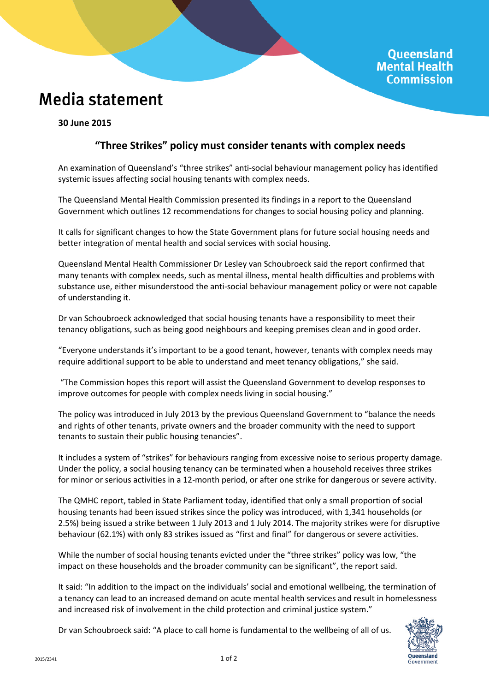## **Media statement**

**30 June 2015**

## **"Three Strikes" policy must consider tenants with complex needs**

An examination of Queensland's "three strikes" anti-social behaviour management policy has identified systemic issues affecting social housing tenants with complex needs.

The Queensland Mental Health Commission presented its findings in a report to the Queensland Government which outlines 12 recommendations for changes to social housing policy and planning.

It calls for significant changes to how the State Government plans for future social housing needs and better integration of mental health and social services with social housing.

Queensland Mental Health Commissioner Dr Lesley van Schoubroeck said the report confirmed that many tenants with complex needs, such as mental illness, mental health difficulties and problems with substance use, either misunderstood the anti-social behaviour management policy or were not capable of understanding it.

Dr van Schoubroeck acknowledged that social housing tenants have a responsibility to meet their tenancy obligations, such as being good neighbours and keeping premises clean and in good order.

"Everyone understands it's important to be a good tenant, however, tenants with complex needs may require additional support to be able to understand and meet tenancy obligations," she said.

"The Commission hopes this report will assist the Queensland Government to develop responses to improve outcomes for people with complex needs living in social housing."

The policy was introduced in July 2013 by the previous Queensland Government to "balance the needs and rights of other tenants, private owners and the broader community with the need to support tenants to sustain their public housing tenancies".

It includes a system of "strikes" for behaviours ranging from excessive noise to serious property damage. Under the policy, a social housing tenancy can be terminated when a household receives three strikes for minor or serious activities in a 12-month period, or after one strike for dangerous or severe activity.

The QMHC report, tabled in State Parliament today, identified that only a small proportion of social housing tenants had been issued strikes since the policy was introduced, with 1,341 households (or 2.5%) being issued a strike between 1 July 2013 and 1 July 2014. The majority strikes were for disruptive behaviour (62.1%) with only 83 strikes issued as "first and final" for dangerous or severe activities.

While the number of social housing tenants evicted under the "three strikes" policy was low, "the impact on these households and the broader community can be significant", the report said.

It said: "In addition to the impact on the individuals' social and emotional wellbeing, the termination of a tenancy can lead to an increased demand on acute mental health services and result in homelessness and increased risk of involvement in the child protection and criminal justice system."

Dr van Schoubroeck said: "A place to call home is fundamental to the wellbeing of all of us.